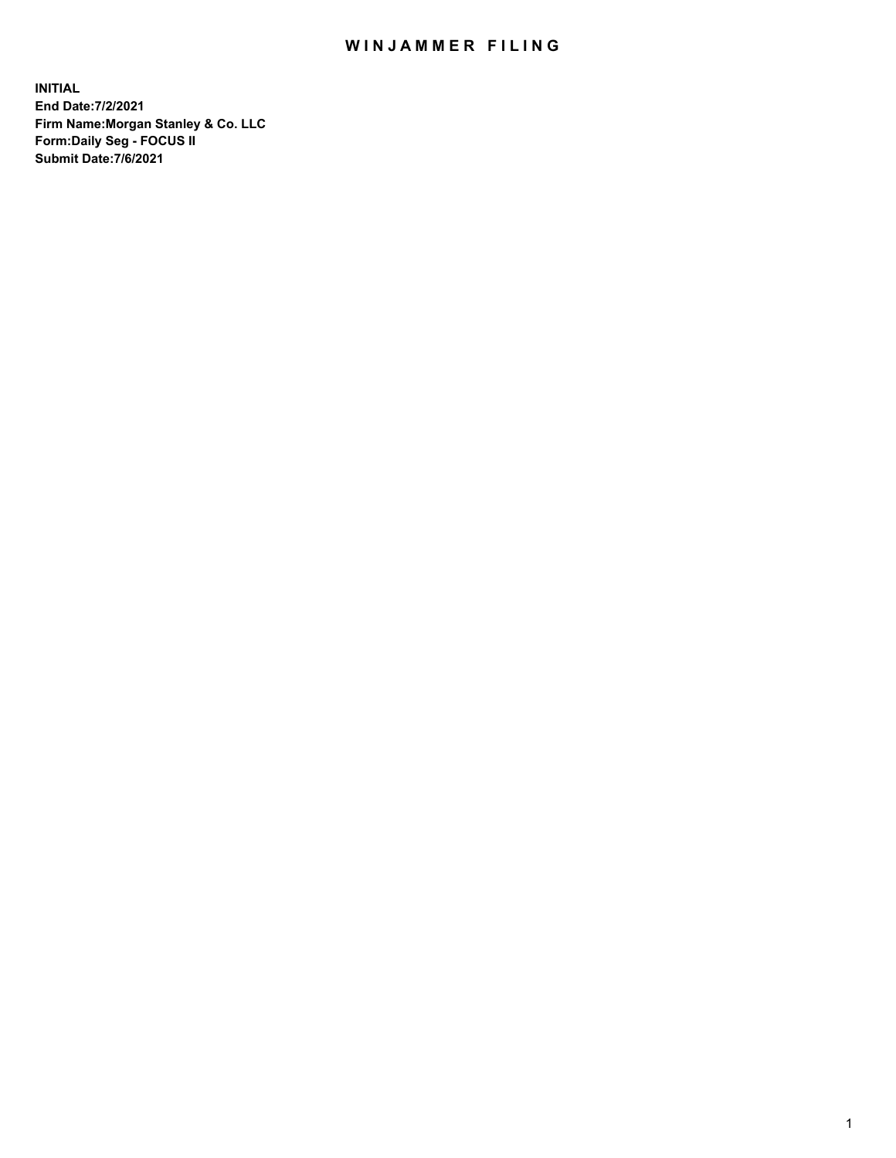## WIN JAMMER FILING

**INITIAL End Date:7/2/2021 Firm Name:Morgan Stanley & Co. LLC Form:Daily Seg - FOCUS II Submit Date:7/6/2021**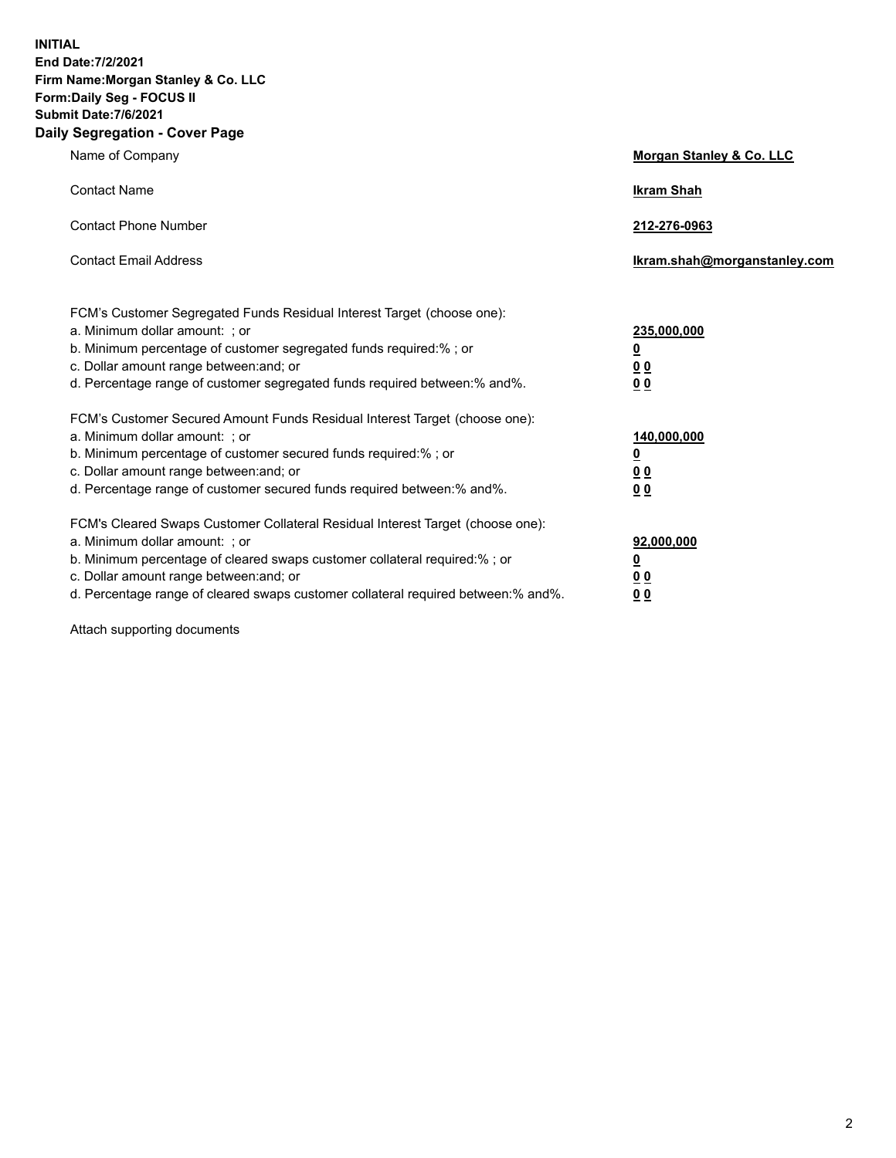**INITIAL End Date:7/2/2021 Firm Name:Morgan Stanley & Co. LLC Form:Daily Seg - FOCUS II Submit Date:7/6/2021 Daily Segregation - Cover Page**

| Name of Company                                                                   | Morgan Stanley & Co. LLC     |
|-----------------------------------------------------------------------------------|------------------------------|
| <b>Contact Name</b>                                                               | <b>Ikram Shah</b>            |
| <b>Contact Phone Number</b>                                                       | 212-276-0963                 |
| <b>Contact Email Address</b>                                                      | Ikram.shah@morganstanley.com |
| FCM's Customer Segregated Funds Residual Interest Target (choose one):            |                              |
| a. Minimum dollar amount: ; or                                                    | 235,000,000                  |
| b. Minimum percentage of customer segregated funds required:%; or                 | <u>0</u>                     |
| c. Dollar amount range between: and; or                                           | <u>0 0</u>                   |
| d. Percentage range of customer segregated funds required between:% and%.         | 0 Q                          |
| FCM's Customer Secured Amount Funds Residual Interest Target (choose one):        |                              |
| a. Minimum dollar amount: ; or                                                    | 140,000,000                  |
| b. Minimum percentage of customer secured funds required:% ; or                   | <u>0</u>                     |
| c. Dollar amount range between: and; or                                           | <u>00</u>                    |
| d. Percentage range of customer secured funds required between:% and%.            | 0 <sup>0</sup>               |
| FCM's Cleared Swaps Customer Collateral Residual Interest Target (choose one):    |                              |
| a. Minimum dollar amount: ; or                                                    | 92,000,000                   |
| b. Minimum percentage of cleared swaps customer collateral required:% ; or        | <u>0</u>                     |
| c. Dollar amount range between: and; or                                           | 0 <sup>0</sup>               |
| d. Percentage range of cleared swaps customer collateral required between:% and%. | 0 <sub>0</sub>               |

Attach supporting documents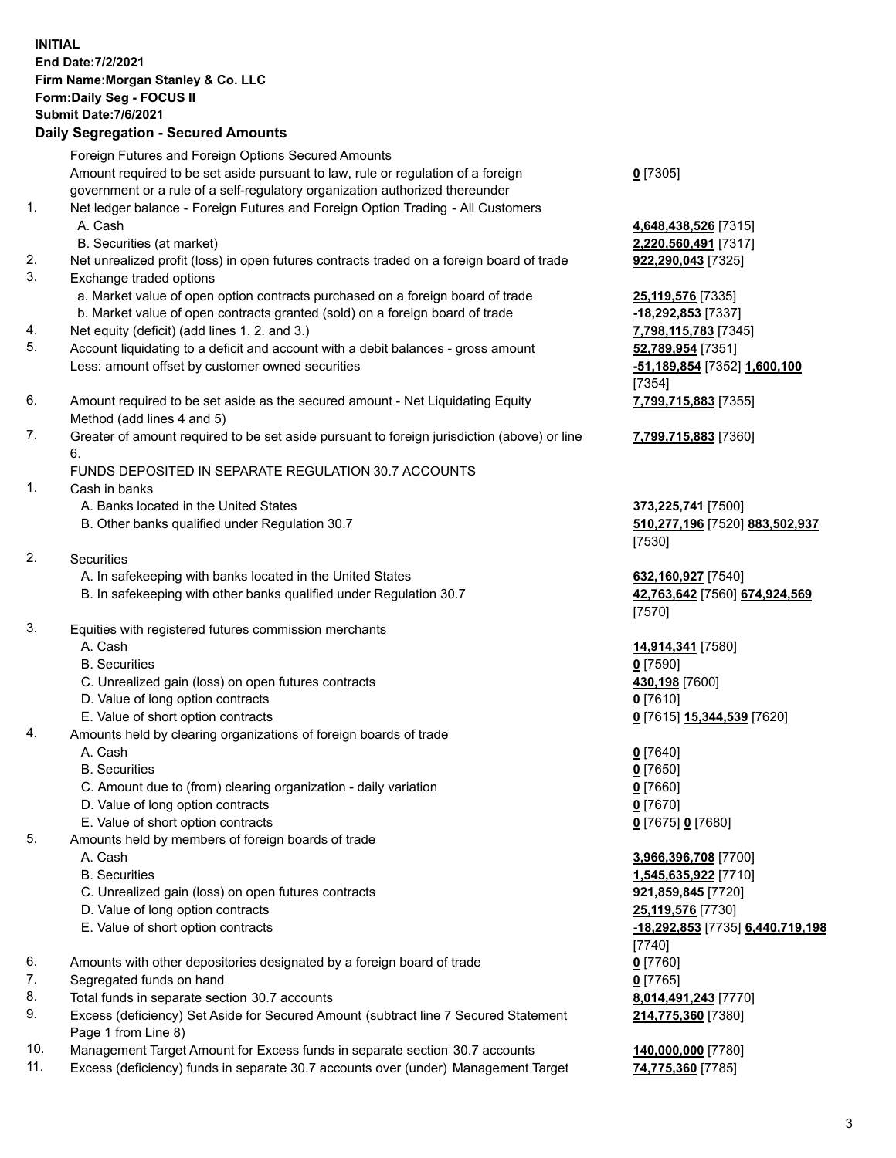|    | <b>INITIAL</b><br>End Date: 7/2/2021<br>Firm Name: Morgan Stanley & Co. LLC<br>Form: Daily Seg - FOCUS II<br><b>Submit Date: 7/6/2021</b><br><b>Daily Segregation - Secured Amounts</b> |                                            |
|----|-----------------------------------------------------------------------------------------------------------------------------------------------------------------------------------------|--------------------------------------------|
|    | Foreign Futures and Foreign Options Secured Amounts                                                                                                                                     |                                            |
|    | Amount required to be set aside pursuant to law, rule or regulation of a foreign                                                                                                        | $Q$ [7305]                                 |
| 1. | government or a rule of a self-regulatory organization authorized thereunder<br>Net ledger balance - Foreign Futures and Foreign Option Trading - All Customers<br>A. Cash              | 4,648,438,526 [7315]                       |
|    | B. Securities (at market)                                                                                                                                                               | 2,220,560,491 [7317]                       |
| 2. | Net unrealized profit (loss) in open futures contracts traded on a foreign board of trade                                                                                               | 922,290,043 [7325]                         |
| 3. | Exchange traded options                                                                                                                                                                 |                                            |
|    | a. Market value of open option contracts purchased on a foreign board of trade<br>b. Market value of open contracts granted (sold) on a foreign board of trade                          | 25,119,576 [7335]<br>-18,292,853 [7337]    |
| 4. | Net equity (deficit) (add lines 1.2. and 3.)                                                                                                                                            | 7,798,115,783 [7345]                       |
| 5. | Account liquidating to a deficit and account with a debit balances - gross amount                                                                                                       | 52,789,954 [7351]                          |
|    | Less: amount offset by customer owned securities                                                                                                                                        | -51,189,854 [7352] 1,600,100               |
| 6. |                                                                                                                                                                                         | [7354]                                     |
|    | Amount required to be set aside as the secured amount - Net Liquidating Equity<br>Method (add lines 4 and 5)                                                                            | 7,799,715,883 [7355]                       |
| 7. | Greater of amount required to be set aside pursuant to foreign jurisdiction (above) or line<br>6.                                                                                       | 7,799,715,883 [7360]                       |
|    | FUNDS DEPOSITED IN SEPARATE REGULATION 30.7 ACCOUNTS                                                                                                                                    |                                            |
| 1. | Cash in banks                                                                                                                                                                           |                                            |
|    | A. Banks located in the United States                                                                                                                                                   | 373,225,741 [7500]                         |
|    | B. Other banks qualified under Regulation 30.7                                                                                                                                          | 510,277,196 [7520] 883,502,937<br>[7530]   |
| 2. | <b>Securities</b>                                                                                                                                                                       |                                            |
|    | A. In safekeeping with banks located in the United States                                                                                                                               | 632,160,927 [7540]                         |
|    | B. In safekeeping with other banks qualified under Regulation 30.7                                                                                                                      | 42,763,642 [7560] 674,924,569<br>[7570]    |
| 3. | Equities with registered futures commission merchants                                                                                                                                   |                                            |
|    | A. Cash                                                                                                                                                                                 | 14,914,341 [7580]                          |
|    | <b>B.</b> Securities                                                                                                                                                                    | $0$ [7590]                                 |
|    | C. Unrealized gain (loss) on open futures contracts<br>D. Value of long option contracts                                                                                                | 430,198 [7600]<br>$0$ [7610]               |
|    | E. Value of short option contracts                                                                                                                                                      | 0 [7615] 15,344,539 [7620]                 |
| 4. | Amounts held by clearing organizations of foreign boards of trade                                                                                                                       |                                            |
|    | A. Cash                                                                                                                                                                                 | $0$ [7640]                                 |
|    | <b>B.</b> Securities                                                                                                                                                                    | $0$ [7650]                                 |
|    | C. Amount due to (from) clearing organization - daily variation                                                                                                                         | $0$ [7660]                                 |
|    | D. Value of long option contracts                                                                                                                                                       | $0$ [7670]                                 |
| 5. | E. Value of short option contracts<br>Amounts held by members of foreign boards of trade                                                                                                | 0 [7675] 0 [7680]                          |
|    | A. Cash                                                                                                                                                                                 | 3,966,396,708 [7700]                       |
|    | <b>B.</b> Securities                                                                                                                                                                    | 1,545,635,922 [7710]                       |
|    | C. Unrealized gain (loss) on open futures contracts                                                                                                                                     | 921,859,845 [7720]                         |
|    | D. Value of long option contracts                                                                                                                                                       | 25,119,576 [7730]                          |
|    | E. Value of short option contracts                                                                                                                                                      | -18,292,853 [7735] 6,440,719,198<br>[7740] |
| 6. | Amounts with other depositories designated by a foreign board of trade                                                                                                                  | $0$ [7760]                                 |
| 7. | Segregated funds on hand                                                                                                                                                                | $0$ [7765]                                 |
| 8. | Total funds in separate section 30.7 accounts                                                                                                                                           | 8,014,491,243 [7770]                       |
| 9. | Excess (deficiency) Set Aside for Secured Amount (subtract line 7 Secured Statement                                                                                                     | 214,775,360 [7380]                         |

- 9. Excess (deficiency) Set Aside for Secured Amount (subtract line 7 Secured Statement Page 1 from Line 8)
- 10. Management Target Amount for Excess funds in separate section 30.7 accounts **140,000,000** [7780]
- 11. Excess (deficiency) funds in separate 30.7 accounts over (under) Management Target **74,775,360** [7785]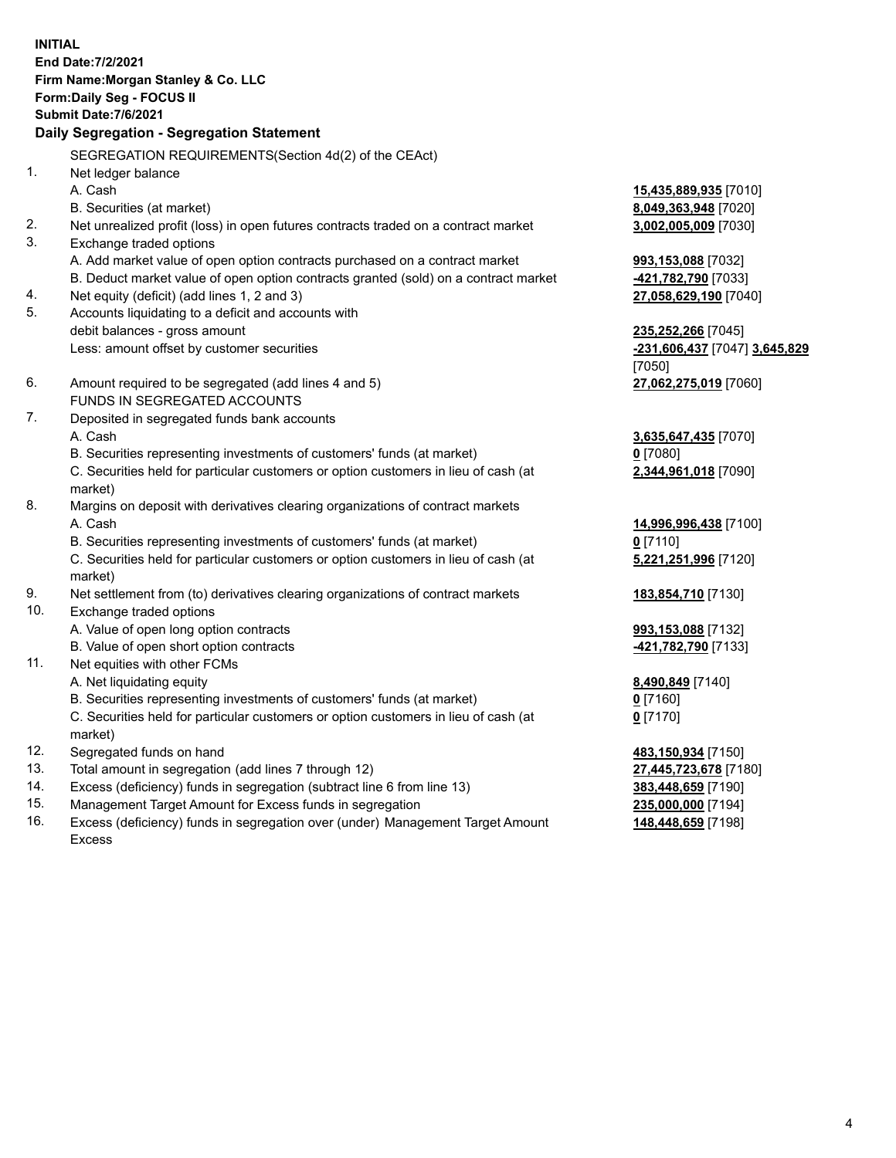**INITIAL End Date:7/2/2021 Firm Name:Morgan Stanley & Co. LLC Form:Daily Seg - FOCUS II Submit Date:7/6/2021 Daily Segregation - Segregation Statement** SEGREGATION REQUIREMENTS(Section 4d(2) of the CEAct) 1. Net ledger balance A. Cash **15,435,889,935** [7010] B. Securities (at market) **8,049,363,948** [7020] 2. Net unrealized profit (loss) in open futures contracts traded on a contract market **3,002,005,009** [7030] 3. Exchange traded options A. Add market value of open option contracts purchased on a contract market **993,153,088** [7032] B. Deduct market value of open option contracts granted (sold) on a contract market **-421,782,790** [7033] 4. Net equity (deficit) (add lines 1, 2 and 3) **27,058,629,190** [7040] 5. Accounts liquidating to a deficit and accounts with debit balances - gross amount **235,252,266** [7045] Less: amount offset by customer securities **-231,606,437** [7047] **3,645,829** [7050] 6. Amount required to be segregated (add lines 4 and 5) **27,062,275,019** [7060] FUNDS IN SEGREGATED ACCOUNTS 7. Deposited in segregated funds bank accounts A. Cash **3,635,647,435** [7070] B. Securities representing investments of customers' funds (at market) **0** [7080] C. Securities held for particular customers or option customers in lieu of cash (at market) **2,344,961,018** [7090] 8. Margins on deposit with derivatives clearing organizations of contract markets A. Cash **14,996,996,438** [7100] B. Securities representing investments of customers' funds (at market) **0** [7110] C. Securities held for particular customers or option customers in lieu of cash (at market) **5,221,251,996** [7120] 9. Net settlement from (to) derivatives clearing organizations of contract markets **183,854,710** [7130] 10. Exchange traded options A. Value of open long option contracts **993,153,088** [7132] B. Value of open short option contracts **-421,782,790** [7133] 11. Net equities with other FCMs A. Net liquidating equity **8,490,849** [7140] B. Securities representing investments of customers' funds (at market) **0** [7160] C. Securities held for particular customers or option customers in lieu of cash (at market) **0** [7170] 12. Segregated funds on hand **483,150,934** [7150] 13. Total amount in segregation (add lines 7 through 12) **27,445,723,678** [7180] 14. Excess (deficiency) funds in segregation (subtract line 6 from line 13) **383,448,659** [7190]

- 15. Management Target Amount for Excess funds in segregation **235,000,000** [7194]
- 16. Excess (deficiency) funds in segregation over (under) Management Target Amount Excess

**148,448,659** [7198]